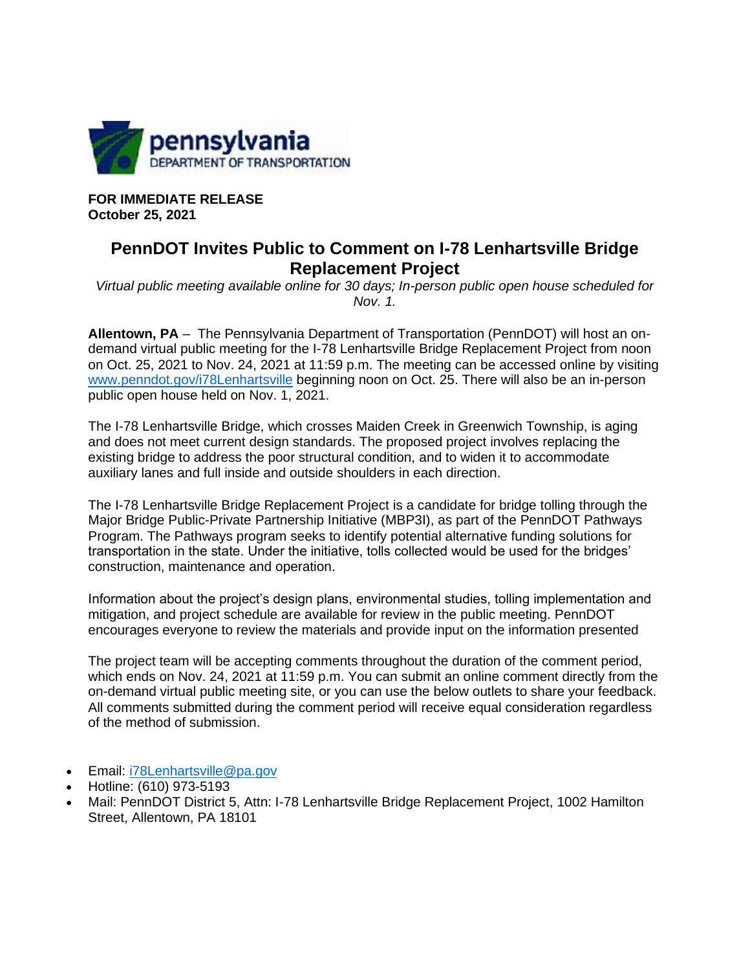

**FOR IMMEDIATE RELEASE October 25, 2021**

## **PennDOT Invites Public to Comment on I-78 Lenhartsville Bridge Replacement Project**

*Virtual public meeting available online for 30 days; In-person public open house scheduled for Nov. 1.*

**Allentown, PA** – The Pennsylvania Department of Transportation (PennDOT) will host an ondemand virtual public meeting for the I-78 Lenhartsville Bridge Replacement Project from noon on Oct. 25, 2021 to Nov. 24, 2021 at 11:59 p.m. The meeting can be accessed online by visiting [www.penndot.gov/i78Lenhartsville](https://gcc02.safelinks.protection.outlook.com/?url=http%3A%2F%2Fwww.penndot.gov%2Fi78Lenhartsville&data=04%7C01%7Capiper%40countyofberks.com%7C92de961c759f487d7fe108d9982b6713%7Cf5d9062952f94673b79545b53bad5ad3%7C0%7C0%7C637708134459814181%7CUnknown%7CTWFpbGZsb3d8eyJWIjoiMC4wLjAwMDAiLCJQIjoiV2luMzIiLCJBTiI6Ik1haWwiLCJXVCI6Mn0%3D%7C1000&sdata=%2FMByB0UIpCh8jIggj43Q39FgQ%2FPXskltGjSfj09QwBQ%3D&reserved=0) beginning noon on Oct. 25. There will also be an in-person public open house held on Nov. 1, 2021.

The I-78 Lenhartsville Bridge, which crosses Maiden Creek in Greenwich Township, is aging and does not meet current design standards. The proposed project involves replacing the existing bridge to address the poor structural condition, and to widen it to accommodate auxiliary lanes and full inside and outside shoulders in each direction.

The I-78 Lenhartsville Bridge Replacement Project is a candidate for bridge tolling through the Major Bridge Public-Private Partnership Initiative (MBP3I), as part of the PennDOT Pathways Program. The Pathways program seeks to identify potential alternative funding solutions for transportation in the state. Under the initiative, tolls collected would be used for the bridges' construction, maintenance and operation.

Information about the project's design plans, environmental studies, tolling implementation and mitigation, and project schedule are available for review in the public meeting. PennDOT encourages everyone to review the materials and provide input on the information presented

The project team will be accepting comments throughout the duration of the comment period, which ends on Nov. 24, 2021 at 11:59 p.m. You can submit an online comment directly from the on-demand virtual public meeting site, or you can use the below outlets to share your feedback. All comments submitted during the comment period will receive equal consideration regardless of the method of submission.

- Email: [i78Lenhartsville@pa.gov](mailto:i78Lenhartsville@pa.gov)
- Hotline: (610) 973-5193
- Mail: PennDOT District 5, Attn: I-78 Lenhartsville Bridge Replacement Project, 1002 Hamilton Street, Allentown, PA 18101